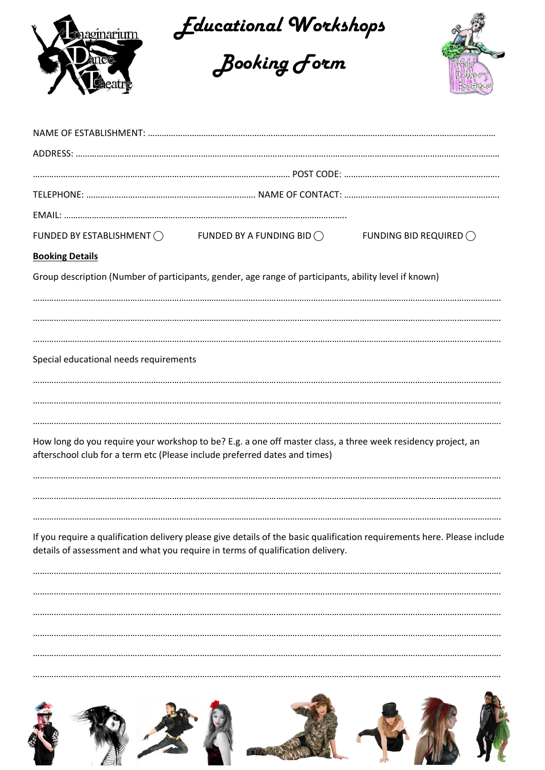

*Educational Workshops*





| FUNDED BY ESTABLISHMENT $\bigcirc$                                         | FUNDED BY A FUNDING BID $\bigcirc$                                                                           | FUNDING BID REQUIRED $\bigcirc$                                                                                          |  |  |  |  |  |  |
|----------------------------------------------------------------------------|--------------------------------------------------------------------------------------------------------------|--------------------------------------------------------------------------------------------------------------------------|--|--|--|--|--|--|
| <b>Booking Details</b>                                                     |                                                                                                              |                                                                                                                          |  |  |  |  |  |  |
|                                                                            | Group description (Number of participants, gender, age range of participants, ability level if known)        |                                                                                                                          |  |  |  |  |  |  |
| Special educational needs requirements                                     |                                                                                                              |                                                                                                                          |  |  |  |  |  |  |
| afterschool club for a term etc (Please include preferred dates and times) | How long do you require your workshop to be? E.g. a one off master class, a three week residency project, an |                                                                                                                          |  |  |  |  |  |  |
|                                                                            | details of assessment and what you require in terms of qualification delivery.                               | If you require a qualification delivery please give details of the basic qualification requirements here. Please include |  |  |  |  |  |  |
|                                                                            |                                                                                                              |                                                                                                                          |  |  |  |  |  |  |